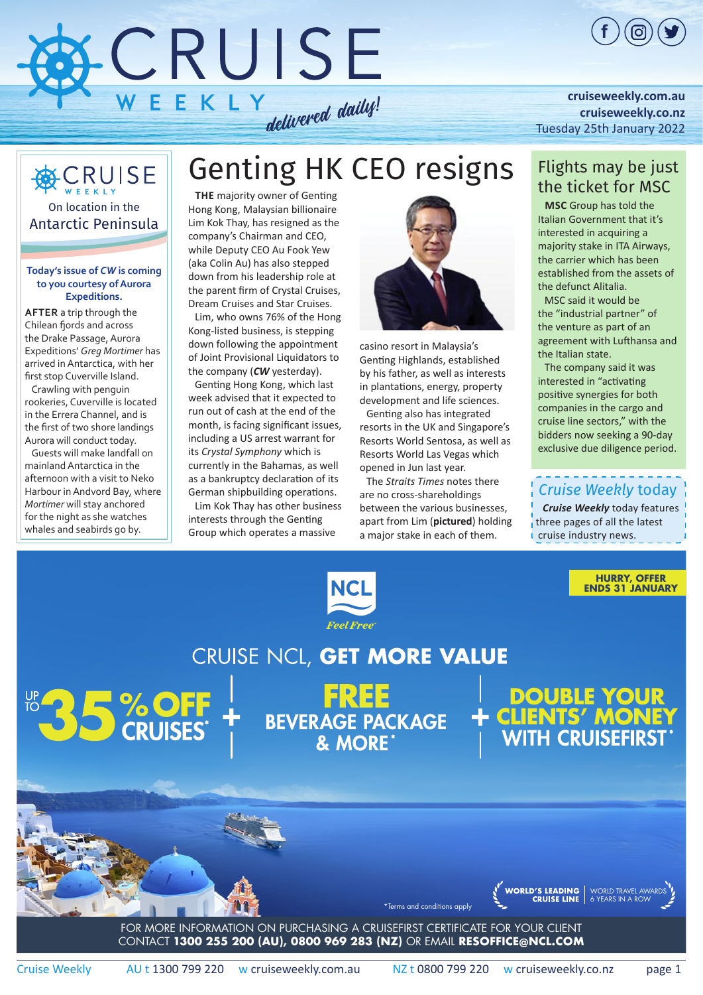

#### **[cruiseweekly.com.au](https://bpgclick.com/cw?c=121&utm_source=cruiseweekly&utm_medium=newsletter&utm_campaign=CW250122&u=http://cruiseweekly.com.au/) [cruiseweekly.co.nz](https://bpgclick.com/cw?c=145&utm_source=cruiseweekly&utm_medium=newsletter&utm_campaign=CW250122&u=https://cruiseweekly.co.nz/)** [Tuesday 25th January 2022](https://bpgclick.com/cw?c=121&utm_source=cruiseweekly&utm_medium=newsletter&utm_campaign=CW250122&u=http://cruiseweekly.com.au/)

### **CRUISE** On location in the Antarctic Peninsula

**Today's issue of** *CW* **is coming** 

#### **to you courtesy of Aurora Expeditions.**

**After** a trip through the Chilean fjords and across the Drake Passage, Aurora Expeditions' *Greg Mortimer* has arrived in Antarctica, with her first stop Cuverville Island.

Crawling with penguin rookeries, Cuverville is located in the Errera Channel, and is the first of two shore landings Aurora will conduct today.

Guests will make landfall on mainland Antarctica in the afternoon with a visit to Neko Harbour in Andvord Bay, where *Mortimer* will stay anchored for the night as she watches whales and seabirds go by.

## Genting HK CEO resigns

**The** majority owner of Genting Hong Kong, Malaysian billionaire Lim Kok Thay, has resigned as the company's Chairman and CEO, while Deputy CEO Au Fook Yew (aka Colin Au) has also stepped down from his leadership role at the parent firm of Crystal Cruises, Dream Cruises and Star Cruises.

Lim, who owns 76% of the Hong Kong-listed business, is stepping down following the appointment of Joint Provisional Liquidators to the company (*CW* [yesterday\)](https://bpgclick.com/cw?c=195&utm_source=cruiseweekly&utm_medium=newsletter&utm_campaign=CW250122&u=https://issues.cruiseweekly.com.au/2022/Jan22/cw240122.pdf).

Genting Hong Kong, which last week advised that it expected to run out of cash at the end of the month, is facing significant issues, including a US arrest warrant for its *Crystal Symphony* which is currently in the Bahamas, as well as a bankruptcy declaration of its German shipbuilding operations.

Lim Kok Thay has other business interests through the Genting Group which operates a massive



casino resort in Malaysia's Genting Highlands, established by his father, as well as interests in plantations, energy, property development and life sciences.

Genting also has integrated resorts in the UK and Singapore's Resorts World Sentosa, as well as Resorts World Las Vegas which opened in Jun last year.

The *Straits Times* notes there are no cross-shareholdings between the various businesses, apart from Lim (**pictured**) holding a major stake in each of them.

#### Flights may be just the ticket for MSC

**MSC** Group has told the Italian Government that it's interested in acquiring a majority stake in ITA Airways, the carrier which has been established from the assets of the defunct Alitalia.

MSC said it would be the "industrial partner" of the venture as part of an agreement with Lufthansa and the Italian state.

The company said it was interested in "activating positive synergies for both companies in the cargo and cruise line sectors," with the bidders now seeking a 90-day exclusive due diligence period.

### *Cruise Weekly* today

*Cruise Weekly* today features three pages of all the latest cruise industry news.

> **HURRY, OFFER ENDS 31 JANUARY**

WORLD TRAVEL AWARDS 6 YEARS IN A ROW



### CRUISE NCL, GET MORE VALUE

**BOS SOFF** 

EREE<br>BEVERAGE PACKAGE<br>& MORE

DOUBLE YOUR<br>CLIENTS' MONEY<br>WITH CRUISEFIRST



\*Terms and conditions apply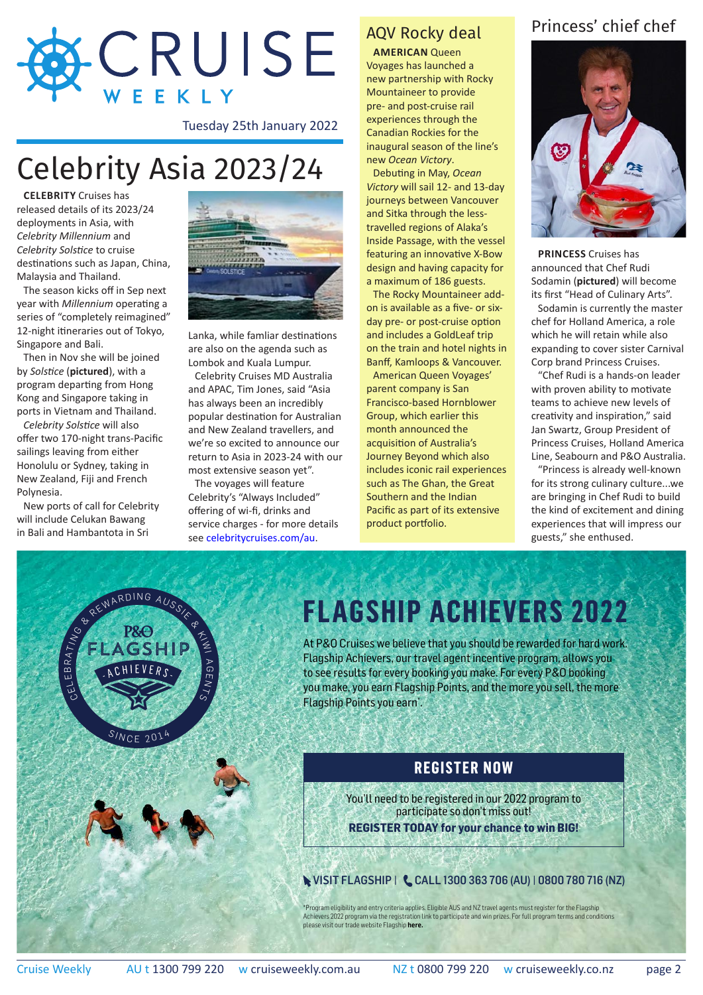

Tuesday 25th January 2022

## Celebrity Asia 2023/24

**Celebrity** Cruises has released details of its 2023/24 deployments in Asia, with *Celebrity Millennium* and *Celebrity Solstice* to cruise destinations such as Japan, China, Malaysia and Thailand.

The season kicks off in Sep next year with *Millennium* operating a series of "completely reimagined" 12-night itineraries out of Tokyo, Singapore and Bali.

Then in Nov she will be joined by *Solstice* (**pictured**), with a program departing from Hong Kong and Singapore taking in ports in Vietnam and Thailand.

*Celebrity Solstice* will also offer two 170-night trans-Pacific sailings leaving from either Honolulu or Sydney, taking in New Zealand, Fiji and French Polynesia.

New ports of call for Celebrity will include Celukan Bawang in Bali and Hambantota in Sri



Lanka, while famliar destinations are also on the agenda such as Lombok and Kuala Lumpur.

Celebrity Cruises MD Australia and APAC, Tim Jones, said "Asia has always been an incredibly popular destination for Australian and New Zealand travellers, and we're so excited to announce our return to Asia in 2023-24 with our most extensive season yet".

The voyages will feature Celebrity's "Always Included" offering of wi-fi, drinks and service charges - for more details see [celebritycruises.com/au.](https://bpgclick.com/cw?c=194&utm_source=cruiseweekly&utm_medium=newsletter&utm_campaign=CW250122&u=https://www.celebritycruises.com/2023-2024-cruises)

### AQV Rocky deal

**American** Queen Voyages has launched a new partnership with Rocky Mountaineer to provide pre- and post-cruise rail experiences through the Canadian Rockies for the inaugural season of the line's new *Ocean Victory*.

Debuting in May, *Ocean Victory* will sail 12- and 13-day journeys between Vancouver and Sitka through the lesstravelled regions of Alaka's Inside Passage, with the vessel featuring an innovative X-Bow design and having capacity for a maximum of 186 guests.

The Rocky Mountaineer addon is available as a five- or sixday pre- or post-cruise option and includes a GoldLeaf trip on the train and hotel nights in Banff, Kamloops & Vancouver.

American Queen Voyages' parent company is San Francisco-based Hornblower Group, which earlier this month announced the acquisition of Australia's Journey Beyond which also includes iconic rail experiences such as The Ghan, the Great Southern and the Indian Pacific as part of its extensive product portfolio.

#### Princess' chief chef



**Princess** Cruises has announced that Chef Rudi Sodamin (**pictured**) will become its first "Head of Culinary Arts".

Sodamin is currently the master chef for Holland America, a role which he will retain while also expanding to cover sister Carnival Corp brand Princess Cruises.

"Chef Rudi is a hands-on leader with proven ability to motivate teams to achieve new levels of creativity and inspiration," said Jan Swartz, Group President of Princess Cruises, Holland America Line, Seabourn and P&O Australia.

"Princess is already well-known for its strong culinary culture...we are bringing in Chef Rudi to build the kind of excitement and dining experiences that will impress our guests," she enthused.



## **[FLAGSHIP ACHIEVERS 2022](https://bpgclick.com/cw?c=163&utm_source=cruiseweekly&utm_medium=newsletter&utm_campaign=CW250122&u=https://flagship.pocruises.com.au/flagship-achievers-2022)**

At P&O Cruises we believe that you should be rewarded for hard work. Flagship Achievers, our travel agent incentive program, allows you to see results for every booking you make. For every P&O booking you make, you earn Flagship Points, and the more you sell, the more

#### **REGISTER NOW**

You'll need to be registered in our 2022 program to participate so don't miss out! **REGISTER TODAY for your chance to win BIG!**

**WISIT FLAGSHIP | CALL 1300 363 706 (AU) | 0800 780 716 (NZ)** 

\*Program eligibility and entry criteria applies. Eligible AUS and NZ travel agents must register for the Flagship Achievers 2022 program via the registration link to participate and win prizes. For full program terms and conditions